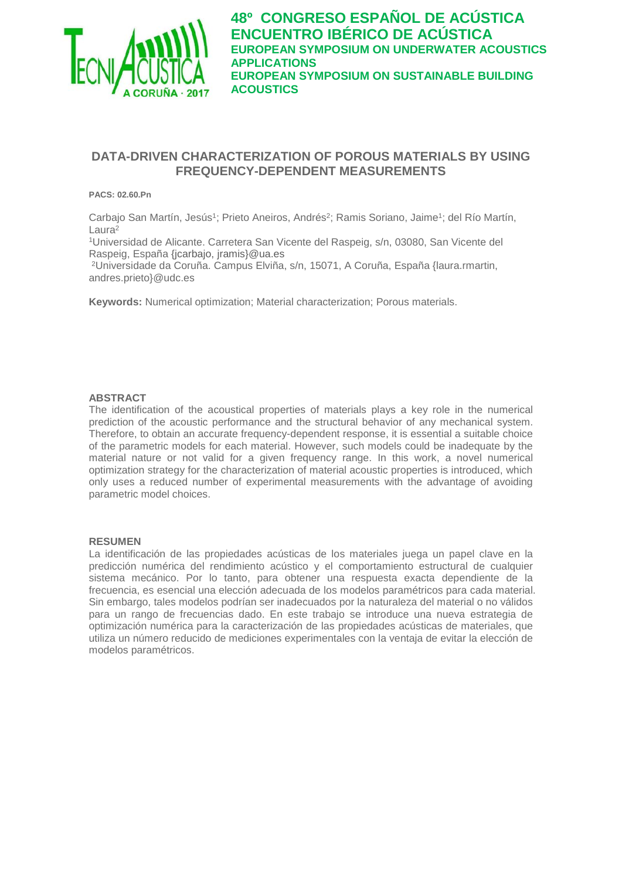

## **DATA-DRIVEN CHARACTERIZATION OF POROUS MATERIALS BY USING FREQUENCY-DEPENDENT MEASUREMENTS**

#### **PACS: 02.60.Pn**

Carbajo San Martín, Jesús<sup>1</sup>; Prieto Aneiros, Andrés<sup>2</sup>; Ramis Soriano, Jaime<sup>1</sup>; del Río Martín, Laura2

1Universidad de Alicante. Carretera San Vicente del Raspeig, s/n, 03080, San Vicente del Raspeig, España {jcarbajo, [jramis}@ua.es](mailto:jramis%7d@ua.es)

2Universidade da Coruña. Campus Elviña, s/n, 15071, A Coruña, España {laura.rmartin, andres.prieto}@udc.es

**Keywords:** Numerical optimization; Material characterization; Porous materials.

#### **ABSTRACT**

The identification of the acoustical properties of materials plays a key role in the numerical prediction of the acoustic performance and the structural behavior of any mechanical system. Therefore, to obtain an accurate frequency-dependent response, it is essential a suitable choice of the parametric models for each material. However, such models could be inadequate by the material nature or not valid for a given frequency range. In this work, a novel numerical optimization strategy for the characterization of material acoustic properties is introduced, which only uses a reduced number of experimental measurements with the advantage of avoiding parametric model choices.

#### **RESUMEN**

La identificación de las propiedades acústicas de los materiales juega un papel clave en la predicción numérica del rendimiento acústico y el comportamiento estructural de cualquier sistema mecánico. Por lo tanto, para obtener una respuesta exacta dependiente de la frecuencia, es esencial una elección adecuada de los modelos paramétricos para cada material. Sin embargo, tales modelos podrían ser inadecuados por la naturaleza del material o no válidos para un rango de frecuencias dado. En este trabajo se introduce una nueva estrategia de optimización numérica para la caracterización de las propiedades acústicas de materiales, que utiliza un número reducido de mediciones experimentales con la ventaja de evitar la elección de modelos paramétricos.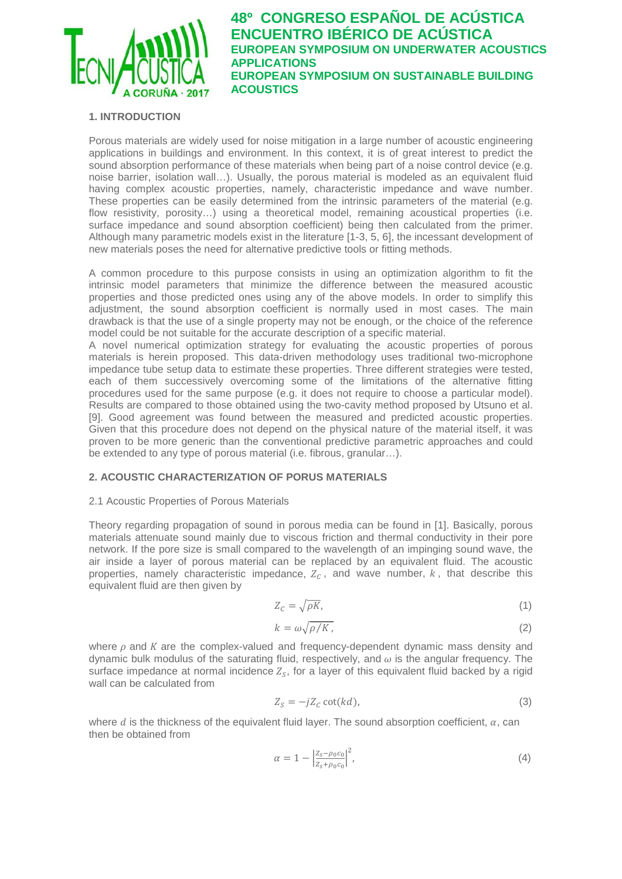

### **1. INTRODUCTION**

Porous materials are widely used for noise mitigation in a large number of acoustic engineering applications in buildings and environment. In this context, it is of great interest to predict the sound absorption performance of these materials when being part of a noise control device (e.g. noise barrier, isolation wall…). Usually, the porous material is modeled as an equivalent fluid having complex acoustic properties, namely, characteristic impedance and wave number. These properties can be easily determined from the intrinsic parameters of the material (e.g. flow resistivity, porosity...) using a theoretical model, remaining acoustical properties (i.e. surface impedance and sound absorption coefficient) being then calculated from the primer. Although many parametric models exist in the literature [1-3, 5, 6], the incessant development of new materials poses the need for alternative predictive tools or fitting methods.

A common procedure to this purpose consists in using an optimization algorithm to fit the intrinsic model parameters that minimize the difference between the measured acoustic properties and those predicted ones using any of the above models. In order to simplify this adjustment, the sound absorption coefficient is normally used in most cases. The main drawback is that the use of a single property may not be enough, or the choice of the reference model could be not suitable for the accurate description of a specific material.

A novel numerical optimization strategy for evaluating the acoustic properties of porous materials is herein proposed. This data-driven methodology uses traditional two-microphone impedance tube setup data to estimate these properties. Three different strategies were tested, each of them successively overcoming some of the limitations of the alternative fitting procedures used for the same purpose (e.g. it does not require to choose a particular model). Results are compared to those obtained using the two-cavity method proposed by Utsuno et al. [9]. Good agreement was found between the measured and predicted acoustic properties. Given that this procedure does not depend on the physical nature of the material itself, it was proven to be more generic than the conventional predictive parametric approaches and could be extended to any type of porous material (i.e. fibrous, granular…).

### **2. ACOUSTIC CHARACTERIZATION OF PORUS MATERIALS**

### 2.1 Acoustic Properties of Porous Materials

Theory regarding propagation of sound in porous media can be found in [1]. Basically, porous materials attenuate sound mainly due to viscous friction and thermal conductivity in their pore network. If the pore size is small compared to the wavelength of an impinging sound wave, the air inside a layer of porous material can be replaced by an equivalent fluid. The acoustic properties, namely characteristic impedance,  $Z_c$ , and wave number,  $k$ , that describe this equivalent fluid are then given by

$$
Z_c = \sqrt{\rho K},\tag{1}
$$

$$
k = \omega \sqrt{\rho/K} \,,\tag{2}
$$

where  $\rho$  and K are the complex-valued and frequency-dependent dynamic mass density and dynamic bulk modulus of the saturating fluid, respectively, and  $\omega$  is the angular frequency. The surface impedance at normal incidence  $Z_{\rm s}$ , for a layer of this equivalent fluid backed by a rigid wall can be calculated from

$$
Z_S = -jZ_C \cot(kd),\tag{3}
$$

where d is the thickness of the equivalent fluid layer. The sound absorption coefficient,  $\alpha$ , can then be obtained from

$$
\alpha = 1 - \left| \frac{z_s - \rho_0 c_0}{z_s + \rho_0 c_0} \right|^2,\tag{4}
$$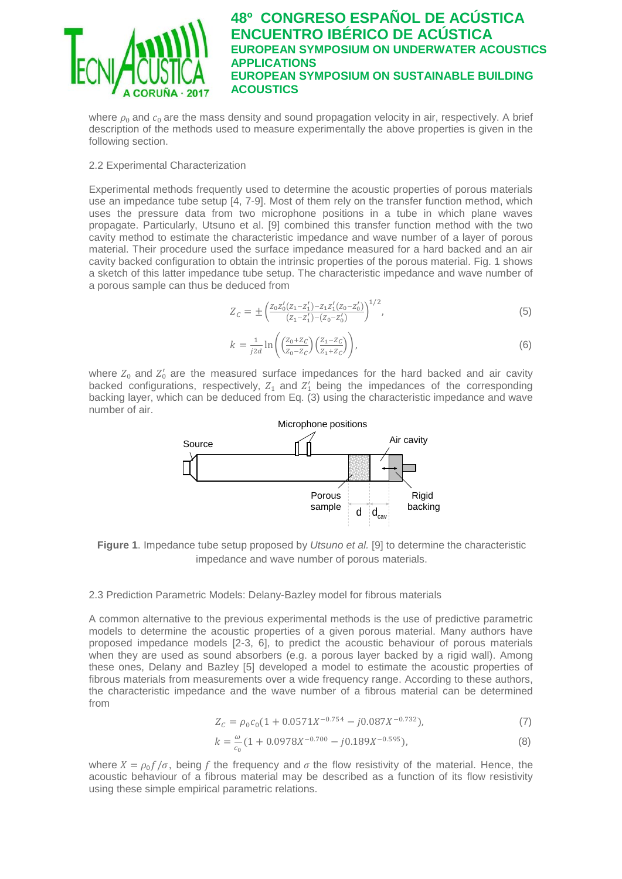

where  $\rho_0$  and  $c_0$  are the mass density and sound propagation velocity in air, respectively. A brief description of the methods used to measure experimentally the above properties is given in the following section.

### 2.2 Experimental Characterization

Experimental methods frequently used to determine the acoustic properties of porous materials use an impedance tube setup [4, 7-9]. Most of them rely on the transfer function method, which uses the pressure data from two microphone positions in a tube in which plane waves propagate. Particularly, Utsuno et al. [9] combined this transfer function method with the two cavity method to estimate the characteristic impedance and wave number of a layer of porous material. Their procedure used the surface impedance measured for a hard backed and an air cavity backed configuration to obtain the intrinsic properties of the porous material. Fig. 1 shows a sketch of this latter impedance tube setup. The characteristic impedance and wave number of a porous sample can thus be deduced from

$$
Z_C = \pm \left( \frac{Z_0 Z_0'(Z_1 - Z_1') - Z_1 Z_1'(Z_0 - Z_0')}{(Z_1 - Z_1') - (Z_0 - Z_0')} \right)^{1/2},\tag{5}
$$

$$
k = \frac{1}{j2d} \ln \left( \left( \frac{Z_0 + Z_C}{Z_0 - Z_C} \right) \left( \frac{Z_1 - Z_C}{Z_1 + Z_C} \right) \right),\tag{6}
$$

where  $Z_0$  and  $Z'_0$  are the measured surface impedances for the hard backed and air cavity backed configurations, respectively,  $Z_1$  and  $Z'_1$  being the impedances of the corresponding backing layer, which can be deduced from Eq. (3) using the characteristic impedance and wave number of air.



**Figure 1**. Impedance tube setup proposed by *Utsuno et al.* [9] to determine the characteristic impedance and wave number of porous materials.

#### 2.3 Prediction Parametric Models: Delany-Bazley model for fibrous materials

A common alternative to the previous experimental methods is the use of predictive parametric models to determine the acoustic properties of a given porous material. Many authors have proposed impedance models [2-3, 6], to predict the acoustic behaviour of porous materials when they are used as sound absorbers (e.g. a porous layer backed by a rigid wall). Among these ones, Delany and Bazley [5] developed a model to estimate the acoustic properties of fibrous materials from measurements over a wide frequency range. According to these authors, the characteristic impedance and the wave number of a fibrous material can be determined from

$$
Z_C = \rho_0 c_0 (1 + 0.0571X^{-0.754} - j0.087X^{-0.732}),
$$
\n(7)

$$
k = \frac{\omega}{c_0} (1 + 0.0978X^{-0.700} - j0.189X^{-0.595}),
$$
\n(8)

where  $X = \rho_0 f / \sigma$ , being f the frequency and  $\sigma$  the flow resistivity of the material. Hence, the acoustic behaviour of a fibrous material may be described as a function of its flow resistivity using these simple empirical parametric relations.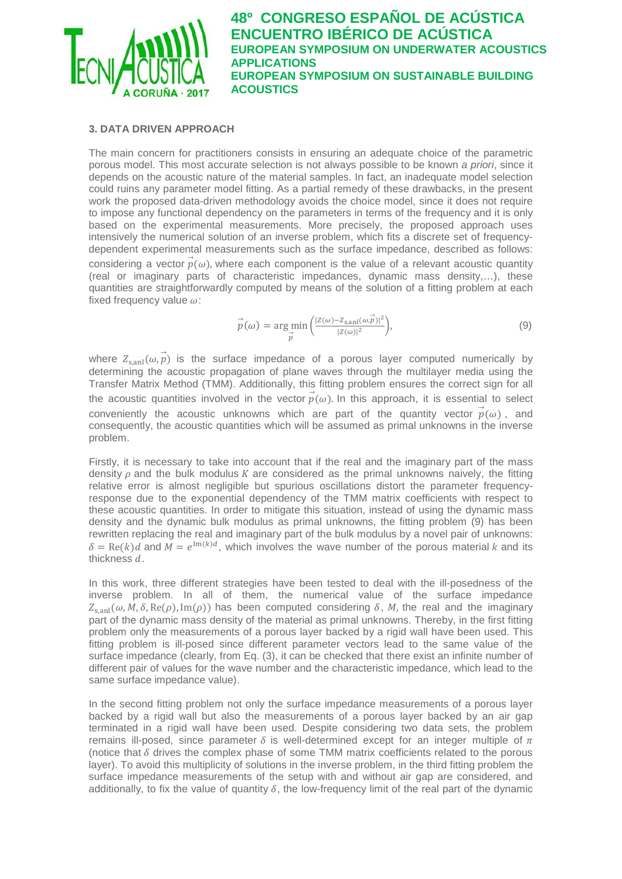

### **3. DATA DRIVEN APPROACH**

The main concern for practitioners consists in ensuring an adequate choice of the parametric porous model. This most accurate selection is not always possible to be known *a priori*, since it depends on the acoustic nature of the material samples. In fact, an inadequate model selection could ruins any parameter model fitting. As a partial remedy of these drawbacks, in the present work the proposed data-driven methodology avoids the choice model, since it does not require to impose any functional dependency on the parameters in terms of the frequency and it is only based on the experimental measurements. More precisely, the proposed approach uses intensively the numerical solution of an inverse problem, which fits a discrete set of frequencydependent experimental measurements such as the surface impedance, described as follows: considering a vector  $\vec{p}(\omega)$ , where each component is the value of a relevant acoustic quantity (real or imaginary parts of characteristic impedances, dynamic mass density,…), these quantities are straightforwardly computed by means of the solution of a fitting problem at each fixed frequency value  $\omega$ :

$$
\vec{p}(\omega) = \underset{\vec{p}}{\arg\min} \left( \frac{|Z(\omega) - Z_{s,\text{all}}(\omega, \vec{p})|^2}{|Z(\omega)|^2} \right),\tag{9}
$$

where  $Z_{\text{s,ant}}(\omega, \vec{p})$  is the surface impedance of a porous layer computed numerically by determining the acoustic propagation of plane waves through the multilayer media using the Transfer Matrix Method (TMM). Additionally, this fitting problem ensures the correct sign for all the acoustic quantities involved in the vector  $\vec{p}(\omega)$ . In this approach, it is essential to select conveniently the acoustic unknowns which are part of the quantity vector  $\vec{p}(\omega)$ , and consequently, the acoustic quantities which will be assumed as primal unknowns in the inverse problem.

Firstly, it is necessary to take into account that if the real and the imaginary part of the mass density  $\rho$  and the bulk modulus K are considered as the primal unknowns naively, the fitting relative error is almost negligible but spurious oscillations distort the parameter frequencyresponse due to the exponential dependency of the TMM matrix coefficients with respect to these acoustic quantities. In order to mitigate this situation, instead of using the dynamic mass density and the dynamic bulk modulus as primal unknowns, the fitting problem (9) has been rewritten replacing the real and imaginary part of the bulk modulus by a novel pair of unknowns:  $\delta = \text{Re}(k) d$  and  $\tilde{M} = e^{\text{Im}(k) d}$ , which involves the wave number of the porous material k and its thickness  $d$ .

In this work, three different strategies have been tested to deal with the ill-posedness of the inverse problem. In all of them, the numerical value of the surface impedance  $Z_{s, \text{anl}}(\omega, M, \delta, \text{Re}(\rho), \text{Im}(\rho))$  has been computed considering  $\delta$ , M, the real and the imaginary part of the dynamic mass density of the material as primal unknowns. Thereby, in the first fitting problem only the measurements of a porous layer backed by a rigid wall have been used. This fitting problem is ill-posed since different parameter vectors lead to the same value of the surface impedance (clearly, from Eq. (3), it can be checked that there exist an infinite number of different pair of values for the wave number and the characteristic impedance, which lead to the same surface impedance value).

In the second fitting problem not only the surface impedance measurements of a porous layer backed by a rigid wall but also the measurements of a porous layer backed by an air gap terminated in a rigid wall have been used. Despite considering two data sets, the problem remains ill-posed, since parameter  $\delta$  is well-determined except for an integer multiple of  $\pi$ (notice that  $\delta$  drives the complex phase of some TMM matrix coefficients related to the porous layer). To avoid this multiplicity of solutions in the inverse problem, in the third fitting problem the surface impedance measurements of the setup with and without air gap are considered, and additionally, to fix the value of quantity  $\delta$ , the low-frequency limit of the real part of the dynamic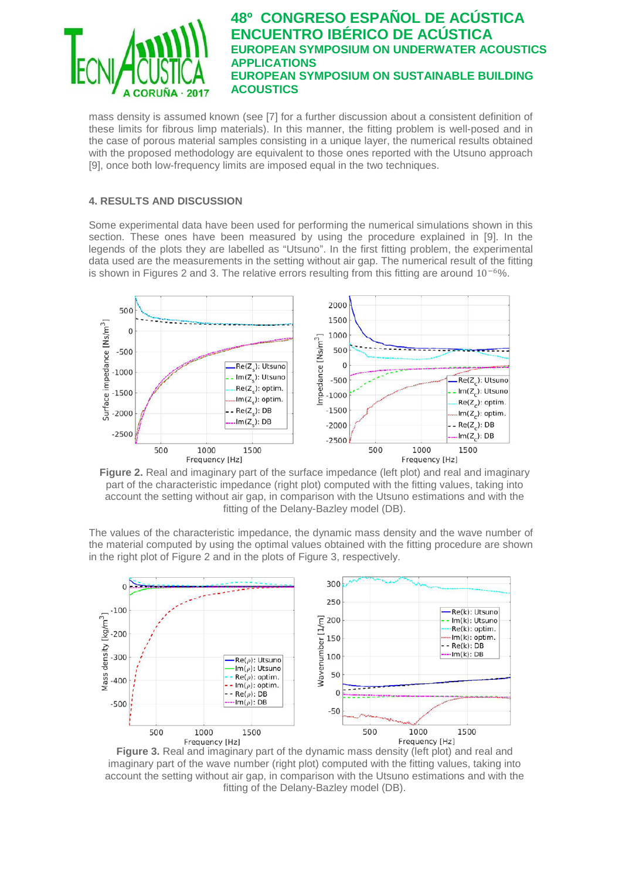

mass density is assumed known (see [7] for a further discussion about a consistent definition of these limits for fibrous limp materials). In this manner, the fitting problem is well-posed and in the case of porous material samples consisting in a unique layer, the numerical results obtained with the proposed methodology are equivalent to those ones reported with the Utsuno approach [9], once both low-frequency limits are imposed equal in the two techniques.

### **4. RESULTS AND DISCUSSION**

Some experimental data have been used for performing the numerical simulations shown in this section. These ones have been measured by using the procedure explained in [9]. In the legends of the plots they are labelled as "Utsuno". In the first fitting problem, the experimental data used are the measurements in the setting without air gap. The numerical result of the fitting is shown in Figures 2 and 3. The relative errors resulting from this fitting are around  $10^{-6}\%$ .



**Figure 2.** Real and imaginary part of the surface impedance (left plot) and real and imaginary part of the characteristic impedance (right plot) computed with the fitting values, taking into account the setting without air gap, in comparison with the Utsuno estimations and with the fitting of the Delany-Bazley model (DB).

The values of the characteristic impedance, the dynamic mass density and the wave number of the material computed by using the optimal values obtained with the fitting procedure are shown in the right plot of Figure 2 and in the plots of Figure 3, respectively.



**Figure 3.** Real and imaginary part of the dynamic mass density (left plot) and real and imaginary part of the wave number (right plot) computed with the fitting values, taking into account the setting without air gap, in comparison with the Utsuno estimations and with the fitting of the Delany-Bazley model (DB).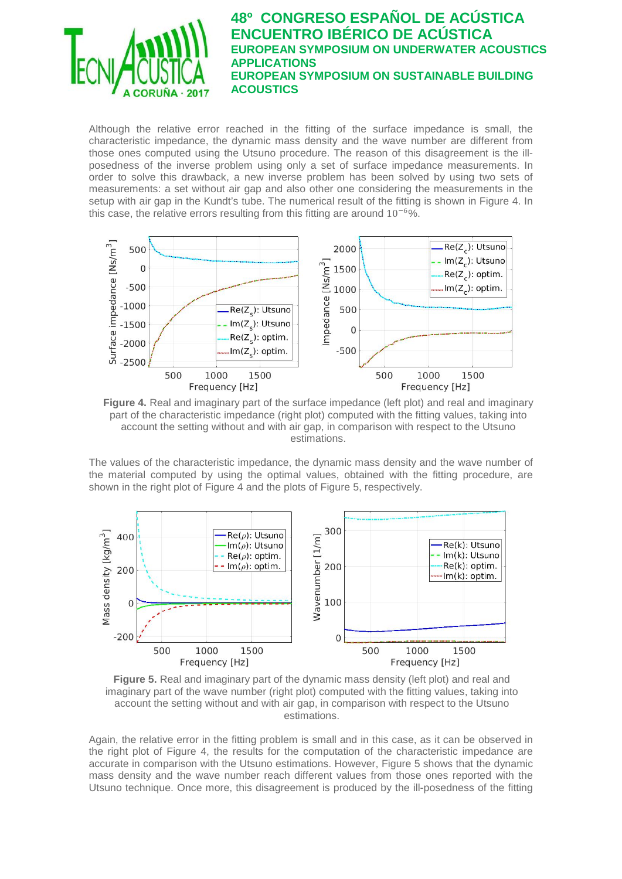

Although the relative error reached in the fitting of the surface impedance is small, the characteristic impedance, the dynamic mass density and the wave number are different from those ones computed using the Utsuno procedure. The reason of this disagreement is the illposedness of the inverse problem using only a set of surface impedance measurements. In order to solve this drawback, a new inverse problem has been solved by using two sets of measurements: a set without air gap and also other one considering the measurements in the setup with air gap in the Kundt's tube. The numerical result of the fitting is shown in Figure 4. In this case, the relative errors resulting from this fitting are around  $10^{-6}$ %.





The values of the characteristic impedance, the dynamic mass density and the wave number of the material computed by using the optimal values, obtained with the fitting procedure, are shown in the right plot of Figure 4 and the plots of Figure 5, respectively.



**Figure 5.** Real and imaginary part of the dynamic mass density (left plot) and real and imaginary part of the wave number (right plot) computed with the fitting values, taking into account the setting without and with air gap, in comparison with respect to the Utsuno estimations.

Again, the relative error in the fitting problem is small and in this case, as it can be observed in the right plot of Figure 4, the results for the computation of the characteristic impedance are accurate in comparison with the Utsuno estimations. However, Figure 5 shows that the dynamic mass density and the wave number reach different values from those ones reported with the Utsuno technique. Once more, this disagreement is produced by the ill-posedness of the fitting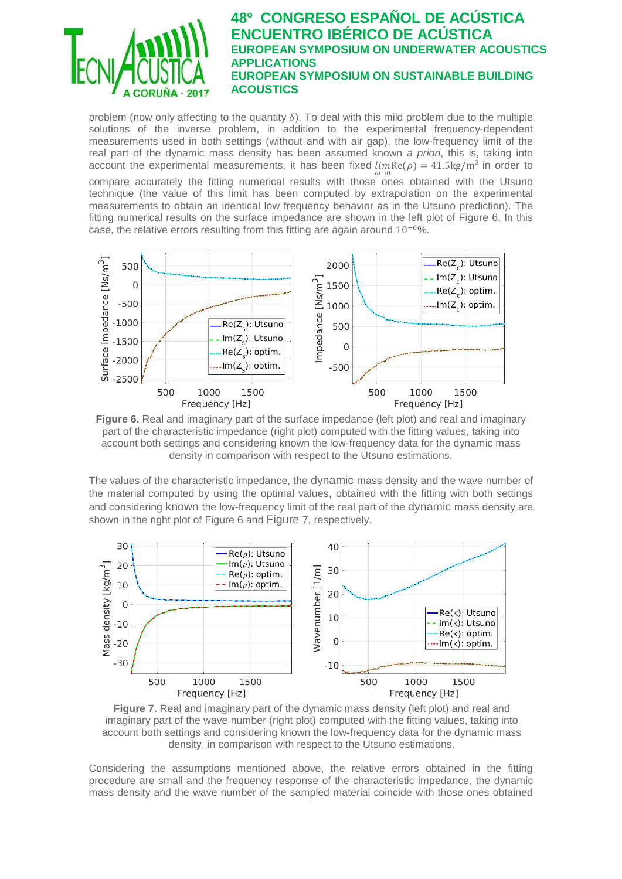

problem (now only affecting to the quantity  $\delta$ ). To deal with this mild problem due to the multiple solutions of the inverse problem, in addition to the experimental frequency-dependent measurements used in both settings (without and with air gap), the low-frequency limit of the real part of the dynamic mass density has been assumed known *a priori*, this is, taking into account the experimental measurements, it has been fixed  $\lim_{\omega \to 0} \text{Re}(\rho) = 41.5 \text{kg/m}^3$  in order to

compare accurately the fitting numerical results with those ones obtained with the Utsuno technique (the value of this limit has been computed by extrapolation on the experimental measurements to obtain an identical low frequency behavior as in the Utsuno prediction). The fitting numerical results on the surface impedance are shown in the left plot of Figure 6. In this case, the relative errors resulting from this fitting are again around 10−6%.



**Figure 6.** Real and imaginary part of the surface impedance (left plot) and real and imaginary part of the characteristic impedance (right plot) computed with the fitting values, taking into account both settings and considering known the low-frequency data for the dynamic mass density in comparison with respect to the Utsuno estimations.

The values of the characteristic impedance, the dynamic mass density and the wave number of the material computed by using the optimal values, obtained with the fitting with both settings and considering known the low-frequency limit of the real part of the dynamic mass density are shown in the right plot of Figure 6 and Figure 7, respectively.



**Figure 7.** Real and imaginary part of the dynamic mass density (left plot) and real and imaginary part of the wave number (right plot) computed with the fitting values, taking into account both settings and considering known the low-frequency data for the dynamic mass density, in comparison with respect to the Utsuno estimations.

Considering the assumptions mentioned above, the relative errors obtained in the fitting procedure are small and the frequency response of the characteristic impedance, the dynamic mass density and the wave number of the sampled material coincide with those ones obtained